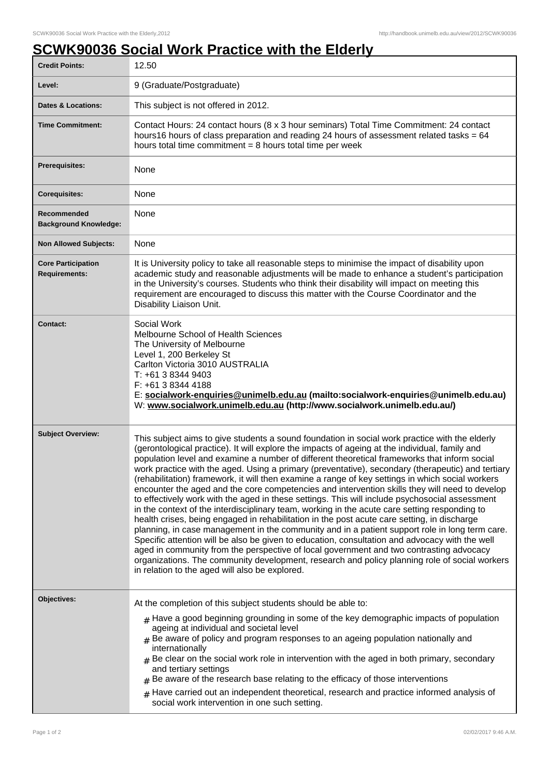## **SCWK90036 Social Work Practice with the Elderly**

| <b>Credit Points:</b>                             | 12.50                                                                                                                                                                                                                                                                                                                                                                                                                                                                                                                                                                                                                                                                                                                                                                                                                                                                                                                                                                                                                                                                                                                                                                                                                                                                                                                                                           |
|---------------------------------------------------|-----------------------------------------------------------------------------------------------------------------------------------------------------------------------------------------------------------------------------------------------------------------------------------------------------------------------------------------------------------------------------------------------------------------------------------------------------------------------------------------------------------------------------------------------------------------------------------------------------------------------------------------------------------------------------------------------------------------------------------------------------------------------------------------------------------------------------------------------------------------------------------------------------------------------------------------------------------------------------------------------------------------------------------------------------------------------------------------------------------------------------------------------------------------------------------------------------------------------------------------------------------------------------------------------------------------------------------------------------------------|
| Level:                                            | 9 (Graduate/Postgraduate)                                                                                                                                                                                                                                                                                                                                                                                                                                                                                                                                                                                                                                                                                                                                                                                                                                                                                                                                                                                                                                                                                                                                                                                                                                                                                                                                       |
| <b>Dates &amp; Locations:</b>                     | This subject is not offered in 2012.                                                                                                                                                                                                                                                                                                                                                                                                                                                                                                                                                                                                                                                                                                                                                                                                                                                                                                                                                                                                                                                                                                                                                                                                                                                                                                                            |
| <b>Time Commitment:</b>                           | Contact Hours: 24 contact hours (8 x 3 hour seminars) Total Time Commitment: 24 contact<br>hours16 hours of class preparation and reading 24 hours of assessment related tasks = 64<br>hours total time commitment $= 8$ hours total time per week                                                                                                                                                                                                                                                                                                                                                                                                                                                                                                                                                                                                                                                                                                                                                                                                                                                                                                                                                                                                                                                                                                              |
| Prerequisites:                                    | None                                                                                                                                                                                                                                                                                                                                                                                                                                                                                                                                                                                                                                                                                                                                                                                                                                                                                                                                                                                                                                                                                                                                                                                                                                                                                                                                                            |
| <b>Corequisites:</b>                              | None                                                                                                                                                                                                                                                                                                                                                                                                                                                                                                                                                                                                                                                                                                                                                                                                                                                                                                                                                                                                                                                                                                                                                                                                                                                                                                                                                            |
| Recommended<br><b>Background Knowledge:</b>       | None                                                                                                                                                                                                                                                                                                                                                                                                                                                                                                                                                                                                                                                                                                                                                                                                                                                                                                                                                                                                                                                                                                                                                                                                                                                                                                                                                            |
| <b>Non Allowed Subjects:</b>                      | None                                                                                                                                                                                                                                                                                                                                                                                                                                                                                                                                                                                                                                                                                                                                                                                                                                                                                                                                                                                                                                                                                                                                                                                                                                                                                                                                                            |
| <b>Core Participation</b><br><b>Requirements:</b> | It is University policy to take all reasonable steps to minimise the impact of disability upon<br>academic study and reasonable adjustments will be made to enhance a student's participation<br>in the University's courses. Students who think their disability will impact on meeting this<br>requirement are encouraged to discuss this matter with the Course Coordinator and the<br>Disability Liaison Unit.                                                                                                                                                                                                                                                                                                                                                                                                                                                                                                                                                                                                                                                                                                                                                                                                                                                                                                                                              |
| <b>Contact:</b>                                   | Social Work<br>Melbourne School of Health Sciences<br>The University of Melbourne<br>Level 1, 200 Berkeley St<br>Carlton Victoria 3010 AUSTRALIA<br>T: +61 3 8344 9403<br>F: +61 3 8344 4188<br>E: socialwork-enquiries@unimelb.edu.au (mailto:socialwork-enquiries@unimelb.edu.au)<br>W: www.socialwork.unimelb.edu.au (http://www.socialwork.unimelb.edu.au/)                                                                                                                                                                                                                                                                                                                                                                                                                                                                                                                                                                                                                                                                                                                                                                                                                                                                                                                                                                                                 |
| <b>Subject Overview:</b>                          | This subject aims to give students a sound foundation in social work practice with the elderly<br>(gerontological practice). It will explore the impacts of ageing at the individual, family and<br>population level and examine a number of different theoretical frameworks that inform social<br>work practice with the aged. Using a primary (preventative), secondary (therapeutic) and tertiary<br>(rehabilitation) framework, it will then examine a range of key settings in which social workers<br>encounter the aged and the core competencies and intervention skills they will need to develop<br>to effectively work with the aged in these settings. This will include psychosocial assessment<br>in the context of the interdisciplinary team, working in the acute care setting responding to<br>health crises, being engaged in rehabilitation in the post acute care setting, in discharge<br>planning, in case management in the community and in a patient support role in long term care.<br>Specific attention will be also be given to education, consultation and advocacy with the well<br>aged in community from the perspective of local government and two contrasting advocacy<br>organizations. The community development, research and policy planning role of social workers<br>in relation to the aged will also be explored. |
| Objectives:                                       | At the completion of this subject students should be able to:<br>$_{\#}$ Have a good beginning grounding in some of the key demographic impacts of population<br>ageing at individual and societal level<br>$#$ Be aware of policy and program responses to an ageing population nationally and<br>internationally<br>$#$ Be clear on the social work role in intervention with the aged in both primary, secondary<br>and tertiary settings<br>$*$ Be aware of the research base relating to the efficacy of those interventions<br>$#$ Have carried out an independent theoretical, research and practice informed analysis of<br>social work intervention in one such setting.                                                                                                                                                                                                                                                                                                                                                                                                                                                                                                                                                                                                                                                                               |